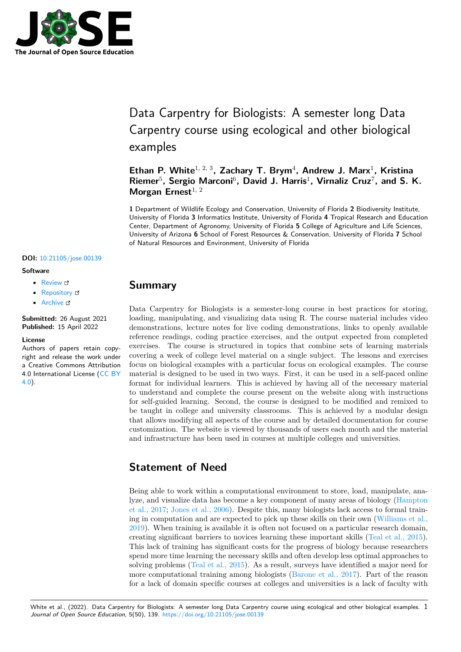

# Data Carpentry for Biologists: A semester long Data Carpentry course using ecological and other biological examples

Ethan P. White<sup>1, 2, 3</sup>, Zachary T. Brym<sup>4</sup>, Andrew J. Marx<sup>1</sup>, Kristina Riemer<sup>5</sup>, Sergio Marconi<sup>6</sup>, David J. Harris<sup>1</sup>, Virnaliz Cruz<sup>7</sup>, and S. K. Morgan Ernest<sup>1, 2</sup>

**1** Department of Wildlife Ecology and Conservation, University of Florida **2** Biodiversity Institute, University of Florida **3** Informatics Institute, University of Florida **4** Tropical Research and Education Center, Department of Agronomy, University of Florida **5** College of Agriculture and Life Sciences, University of Arizona **6** School of Forest Resources & Conservation, University of Florida **7** School of Natural Resources and Environment, University of Florida

#### **DOI:** 10.21105/jose.00139

#### **Software**

- Review &
- [Repository](https://doi.org/10.21105/jose.00139) &
- Archive

#### **Subm[itted:](https://github.com/openjournals/jose-reviews/issues/139)** 26 August 2021 **Published:** [15 Ap](https://github.com/datacarpentry/semester-biology/)ril 2022

#### **Licen[se](https://doi.org/10.5281/zenodo.5821925)**

Authors of papers retain copyright and release the work under a Creative Commons Attribution 4.0 International License (CC BY 4.0).

### **Summary**

Data Carpentry for Biologists is a semester-long course in best practices for storing, loading, manipulating, and visualizing data using R. The course material includes video demonstrations, lecture notes for live coding demonstrations, links to openly available reference readings, coding practice exercises, and the output expected from completed exercises. The course is structured in topics that combine sets of learning materials covering a week of college level material on a single subject. The lessons and exercises focus on biological examples with a particular focus on ecological examples. The course material is designed to be used in two ways. First, it can be used in a self-paced online format for individual learners. This is achieved by having all of the necessary material to understand and complete the course present on the website along with instructions for self-guided learning. Second, the course is designed to be modified and remixed to be taught in college and university classrooms. This is achieved by a modular design that allows modifying all aspects of the course and by detailed documentation for course customization. The website is viewed by thousands of users each month and the material and infrastructure has been used in courses at multiple colleges and universities.

# **Statement of Need**

Being able to work within a computational environment to store, load, manipulate, analyze, and visualize data has become a key component of many areas of biology (Hampton et al., 2017; Jones et al., 2006). Despite this, many biologists lack access to formal training in computation and are expected to pick up these skills on their own (Williams et al., 2019). When training is available it is often not focused on a particular research domain, creating significant barriers to novices learning these important skills (Teal et [al., 2015\).](#page-4-0) [This lack o](#page-4-0)f [training has signi](#page-4-1)ficant costs for the progress of biology because researchers spend more time learning the necessary skills and often develop less optim[al approaches to](#page-4-2) [solvin](#page-4-2)g problems (Teal et al., 2015). As a result, surveys have identified a major need for more computational training among biologists (Barone et al., 2017). [Part of the reaso](#page-4-3)n for a lack of domain specific courses at colleges and universities is a lack of faculty with

White et al., (2022). Data Carpentry for Biologists: A se[mester long Data C](#page-4-3)arpentry course [using ecological and oth](#page-4-4)er biological examples.  $1$ *Journal of Open Source Education*, 5(50), 139. https://doi.org/10.21105/jose.00139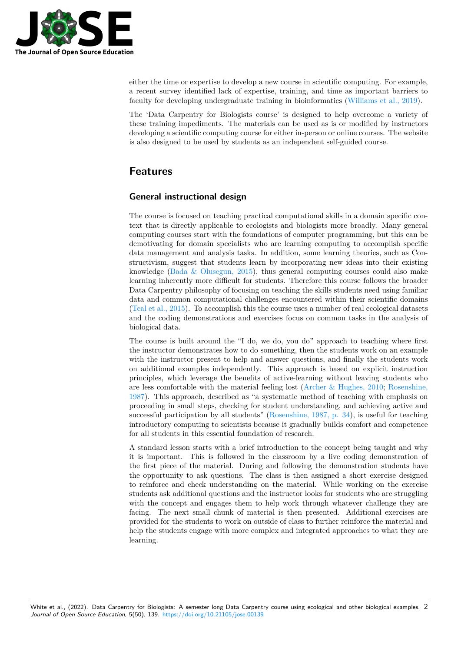

either the time or expertise to develop a new course in scientific computing. For example, a recent survey identified lack of expertise, training, and time as important barriers to faculty for developing undergraduate training in bioinformatics (Williams et al., 2019).

The 'Data Carpentry for Biologists course' is designed to help overcome a variety of these training impediments. The materials can be used as is or modified by instructors developing a scientific computing course for either in-person or onl[ine courses. The webs](#page-4-2)ite is also designed to be used by students as an independent self-guided course.

# **Features**

### **General instructional design**

The course is focused on teaching practical computational skills in a domain specific context that is directly applicable to ecologists and biologists more broadly. Many general computing courses start with the foundations of computer programming, but this can be demotivating for domain specialists who are learning computing to accomplish specific data management and analysis tasks. In addition, some learning theories, such as Constructivism, suggest that students learn by incorporating new ideas into their existing knowledge (Bada & Olusegun, 2015), thus general computing courses could also make learning inherently more difficult for students. Therefore this course follows the broader Data Carpentry philosophy of focusing on teaching the skills students need using familiar data and common computational challenges encountered within their scientific domains (Teal et al., [2015\). To accomplish thi](#page-4-5)s the course uses a number of real ecological datasets and the coding demonstrations and exercises focus on common tasks in the analysis of biological data.

The course is built around the "I do, we do, you do" approach to teaching where first t[he instructor de](#page-4-3)monstrates how to do something, then the students work on an example with the instructor present to help and answer questions, and finally the students work on additional examples independently. This approach is based on explicit instruction principles, which leverage the benefits of active-learning without leaving students who are less comfortable with the material feeling lost (Archer & Hughes, 2010; Rosenshine, 1987). This approach, described as "a systematic method of teaching with emphasis on proceeding in small steps, checking for student understanding, and achieving active and successful participation by all students" (Rosenshine, 1987, p. 34), is useful for teaching introductory computing to scientists because it gra[dually builds comfort and](#page-4-6) [competence](#page-4-7) [for a](#page-4-7)ll students in this essential foundation of research.

A standard lesson starts with a brief introduction to the concept being taught and why it is important. This is followed in the [classroom by a live co](#page-4-7)ding demonstration of the first piece of the material. During and following the demonstration students have the opportunity to ask questions. The class is then assigned a short exercise designed to reinforce and check understanding on the material. While working on the exercise students ask additional questions and the instructor looks for students who are struggling with the concept and engages them to help work through whatever challenge they are facing. The next small chunk of material is then presented. Additional exercises are provided for the students to work on outside of class to further reinforce the material and help the students engage with more complex and integrated approaches to what they are learning.

White et al., (2022). Data Carpentry for Biologists: A semester long Data Carpentry course using ecological and other biological examples. 2*Journal of Open Source Education*, 5(50), 139. https://doi.org/10.21105/jose.00139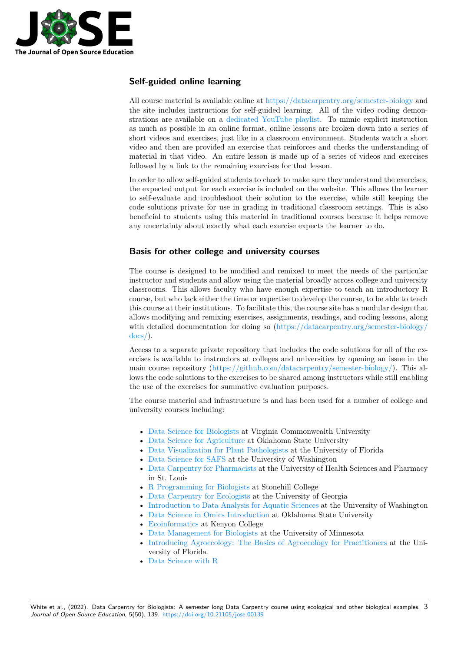

### **Self-guided online learning**

All course material is available online at https://datacarpentry.org/semester-biology and the site includes instructions for self-guided learning. All of the video coding demonstrations are available on a dedicated YouTube playlist. To mimic explicit instruction as much as possible in an online format, online lessons are broken down into a series of short videos and exercises, just like in a [classroom environment. Students watch a s](https://datacarpentry.org/semester-biology)hort video and then are provided an exercise that reinforces and checks the understanding of material in that video. An [entire lesson is made up of](https://youtube.com/playlist?list=PLD8eCxFKntVH5EJmTBaZXWaU8cM_T9Lfl) a series of videos and exercises followed by a link to the remaining exercises for that lesson.

In order to allow self-guided students to check to make sure they understand the exercises, the expected output for each exercise is included on the website. This allows the learner to self-evaluate and troubleshoot their solution to the exercise, while still keeping the code solutions private for use in grading in traditional classroom settings. This is also beneficial to students using this material in traditional courses because it helps remove any uncertainty about exactly what each exercise expects the learner to do.

### **Basis for other college and university courses**

The course is designed to be modified and remixed to meet the needs of the particular instructor and students and allow using the material broadly across college and university classrooms. This allows faculty who have enough expertise to teach an introductory R course, but who lack either the time or expertise to develop the course, to be able to teach this course at their institutions. To facilitate this, the course site has a modular design that allows modifying and remixing exercises, assignments, readings, and coding lessons, along with detailed documentation for doing so (https://datacarpentry.org/semester-biology/ docs/).

Access to a separate private repository that includes the code solutions for all of the exercises is available to instructors at colleges and universities by opening an issue in the main course repository (https://github.co[m/datacarpentry/semester-biology/\). This al](https://datacarpentry.org/semester-biology/docs/)[lows t](https://datacarpentry.org/semester-biology/docs/)he code solutions to the exercises to be shared among instructors while still enabling the use of the exercises for summative evaluation purposes.

The course material and [infrastructure is and has been used for a number of c](https://github.com/datacarpentry/semester-biology/)ollege and university courses including:

- Data Science for Biologists at Virginia Commonwealth University
- Data Science for Agriculture at Oklahoma State University
- Data Visualization for Plant Pathologists at the University of Florida
- Data Science for SAFS at the University of Washington
- [Data Carpentry for Pharma](https://catherinehulshof.github.io/Fall2020-biology/)cists at the University of Health Sciences and Pharmacy [in St. Louis](https://palderman.github.io/DataSciAg/)
- [R Programming for Biologists](https://ufvegpathology.github.io/phyto-data-viz/) at Stonehill College
- [Data Carpentry for Eco](https://sr320.github.io/course-fish497-2018/)logists at the University of Georgia
- [Introduction to Data Analysis fo](https://ory-data-science.github.io/semester-pharmacy/)r Aquatic Sciences at the University of Washington
- Data Science in Omics Introduction at Oklahoma State University
- [Ecoinformatics](https://www.stonehill.edu/summer-courses-2021/undergraduate-courses/bio316a/) at Kenyon College
- [Data Management for Biologis](https://mvevans89.github.io/ECOL-8030/)ts at the University of Minnesota
- [Introducing Agroecology: The Basics of Agroecolo](https://sr320.github.io/course-fish274-2019/)gy for Practitioners at the Uni[versity of Florida](https://hoytpr.github.io/bioinformatics-semester/)
- [Data Science w](https://globalecologybiogeography.github.io/Ecoinformatics/)ith R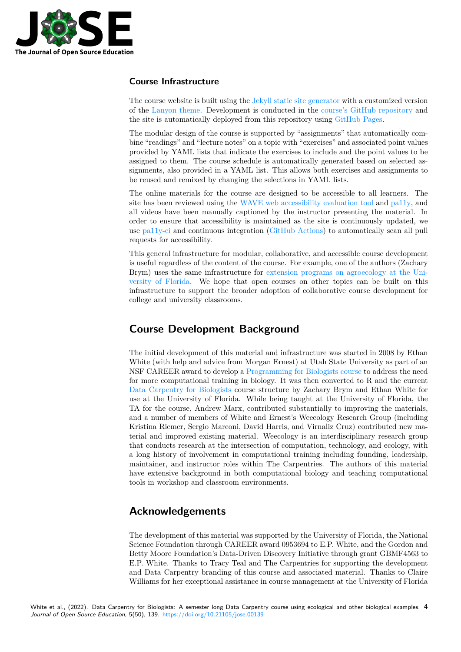

#### **Course Infrastructure**

The course website is built using the Jekyll static site generator with a customized version of the Lanyon theme. Development is conducted in the course's GitHub repository and the site is automatically deployed from this repository using GitHub Pages.

The modular design of the course is supported by "assignments" that automatically combine "readings" and "lecture notes" o[n a topic with "exercises" a](https://jekyllrb.com/)nd associated point values provid[ed by YAML li](https://github.com/poole/lanyon)sts that indicate the exercises to in[clude and the point values t](https://github.com/datacarpentry/semester-biology/)o be assigned to them. The course schedule is automatically gen[erated based on](https://pages.github.com/) selected assignments, also provided in a YAML list. This allows both exercises and assignments to be reused and remixed by changing the selections in YAML lists.

The online materials for the course are designed to be accessible to all learners. The site has been reviewed using the WAVE web accessibility evaluation tool and pa11y, and all videos have been manually captioned by the instructor presenting the material. In order to ensure that accessibility is maintained as the site is continuously updated, we use pa11y-ci and continuous integration (GitHub Actions) to automatically scan all pull requests for accessibility.

This general infrastructure for modular, collaborative, and accessible course development is useful regardless of the content of the course. For example, one of the authors (Zachary Bry[m\) uses](https://github.com/pa11y/pa11y-ci) the same infrastructure for [extension progra](https://github.com/features/actions)ms on agroecology at the University of Florida. We hope that open courses on other topics can be built on this infrastructure to support the broader adoption of collaborative course development for college and university classrooms.

# **[Course Deve](https://trec-agroecology.github.io/introducing-agroecology/)lopment Background**

The initial development of this material and infrastructure was started in 2008 by Ethan White (with help and advice from Morgan Ernest) at Utah State University as part of an NSF CAREER award to develop a Programming for Biologists course to address the need for more computational training in biology. It was then converted to R and the current Data Carpentry for Biologists course structure by Zachary Brym and Ethan White for use at the University of Florida. While being taught at the University of Florida, the TA for the course, Andrew Marx, [contributed substantially to impro](http://www.programmingforbiologists.org/)ving the materials, and a number of members of White and Ernest's Weecology Research Group (including [Kristina Riemer, Sergio Marco](https://datacarpentry.org/semester-biology/)ni, David Harris, and Virnaliz Cruz) contributed new material and improved existing material. Weecology is an interdisciplinary research group that conducts research at the intersection of computation, technology, and ecology, with a long history of involvement in computational training including founding, leadership, maintainer, and instructor roles within The Carpentries. The authors of this material have extensive background in both computational biology and teaching computational tools in workshop and classroom environments.

# **Acknowledgements**

The development of this material was supported by the University of Florida, the National Science Foundation through CAREER award 0953694 to E.P. White, and the Gordon and Betty Moore Foundation's Data-Driven Discovery Initiative through grant GBMF4563 to E.P. White. Thanks to Tracy Teal and The Carpentries for supporting the development and Data Carpentry branding of this course and associated material. Thanks to Claire Williams for her exceptional assistance in course management at the University of Florida

White et al., (2022). Data Carpentry for Biologists: A semester long Data Carpentry course using ecological and other biological examples. 4*Journal of Open Source Education*, 5(50), 139. https://doi.org/10.21105/jose.00139